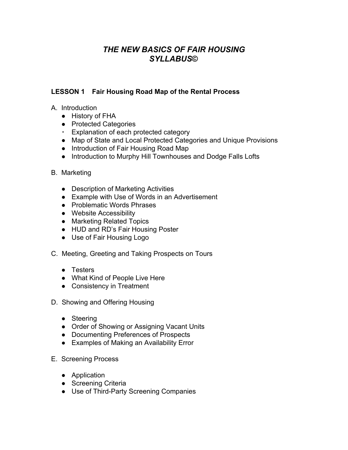# *THE NEW BASICS OF FAIR HOUSING SYLLABUS***©**

### **LESSON 1 Fair Housing Road Map of the Rental Process**

- A. Introduction
	- History of FHA
	- Protected Categories
	- Explanation of each protected category
	- Map of State and Local Protected Categories and Unique Provisions
	- Introduction of Fair Housing Road Map
	- Introduction to Murphy Hill Townhouses and Dodge Falls Lofts
- B. Marketing
	- Description of Marketing Activities
	- Example with Use of Words in an Advertisement
	- Problematic Words Phrases
	- Website Accessibility
	- Marketing Related Topics
	- HUD and RD's Fair Housing Poster
	- Use of Fair Housing Logo
- C. Meeting, Greeting and Taking Prospects on Tours
	- Testers
	- What Kind of People Live Here
	- Consistency in Treatment
- D. Showing and Offering Housing
	- Steering
	- Order of Showing or Assigning Vacant Units
	- Documenting Preferences of Prospects
	- Examples of Making an Availability Error
- E. Screening Process
	- Application
	- Screening Criteria
	- Use of Third-Party Screening Companies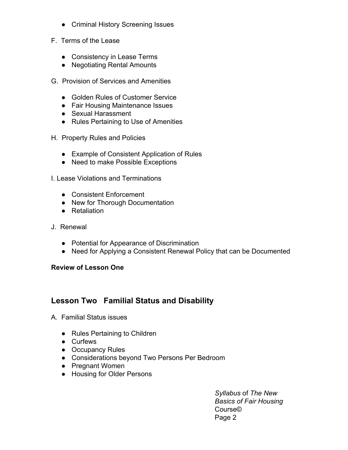- Criminal History Screening Issues
- F. Terms of the Lease
	- Consistency in Lease Terms
	- Negotiating Rental Amounts
- G. Provision of Services and Amenities
	- Golden Rules of Customer Service
	- Fair Housing Maintenance Issues
	- Sexual Harassment
	- Rules Pertaining to Use of Amenities
- H. Property Rules and Policies
	- Example of Consistent Application of Rules
	- Need to make Possible Exceptions
- I. Lease Violations and Terminations
	- Consistent Enforcement
	- New for Thorough Documentation
	- Retaliation
- J. Renewal
	- Potential for Appearance of Discrimination
	- Need for Applying a Consistent Renewal Policy that can be Documented

## **Review of Lesson One**

# **Lesson Two Familial Status and Disability**

- A. Familial Status issues
	- Rules Pertaining to Children
	- Curfews
	- Occupancy Rules
	- Considerations beyond Two Persons Per Bedroom
	- Pregnant Women
	- Housing for Older Persons

*Syllabus* of *The New Basics of Fair Housing* Course© Page 2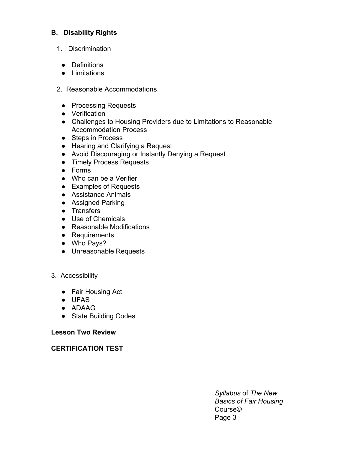### **B. Disability Rights**

- 1. Discrimination
	- Definitions
	- Limitations
- 2. Reasonable Accommodations
	- Processing Requests
	- Verification
	- Challenges to Housing Providers due to Limitations to Reasonable Accommodation Process
	- Steps in Process
	- Hearing and Clarifying a Request
	- Avoid Discouraging or Instantly Denying a Request
	- Timely Process Requests
	- Forms
	- Who can be a Verifier
	- Examples of Requests
	- Assistance Animals
	- Assigned Parking
	- Transfers
	- Use of Chemicals
	- Reasonable Modifications
	- Requirements
	- Who Pays?
	- Unreasonable Requests

#### 3. Accessibility

- Fair Housing Act
- UFAS
- ADAAG
- State Building Codes

#### **Lesson Two Review**

**CERTIFICATION TEST**

*Syllabus* of *The New Basics of Fair Housing* Course© Page 3